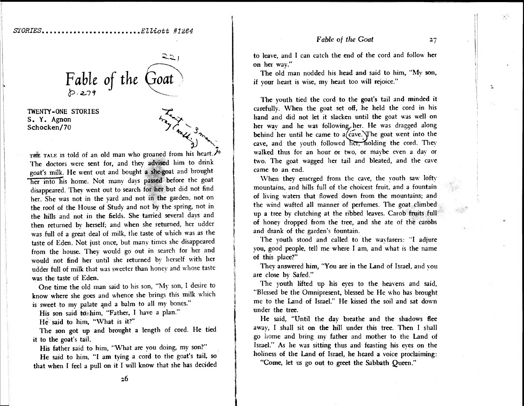Fable of the Goat 27

 $\chi^*$ 

isik?

*STORIES Elliott #1264* 

## $22$ **Fable** *of* **the goat**  *(ID z.:71*

TWENTY-ONE STORIES S. Y. Agnon Schocken/70

THE TALE IS told of an old man who groaned from his heart. The doctors were sent for, and they advised him to drink goat's milk. He went out and bought a she-goat and brought her into his home. Not many days passed before the goat disappeared. They went out to search for her but did not find her. She was not in the yard and not in the garden, not on the roof of the House of Study and not by the spring, not in the hills and not in the fields. She tarried several days and then returned by herself; and when she returned, her udder was full of a great deal of milk, the taste of which was as the taste of Eden. Not just once, but many times she disappeared from the house. They would go out in search for her and would not find her until she returned by herself with her udder full of milk that was sweeter than honey and whose taste was the taste of Eden.

One time the old man said to his son, "My son, I desire to know where she goes and whence she brings this milk which is sweet to my palate and a balm to all my bones."

His son said to him, "Father, I have a plan."

He said to him, "What is it?"

The son got up and brought a length of cord. He tied it to the goat's tail.

His father said to him, "What are you doing, my son?" He said to him, "I am tying a cord to the goat's tail, so that when I feel a pull on it I will know that she has decided to leave, and I can catch the end of the cord and follow her on her way."

The old man nodded his head and said to him, "My son, if your heart is wise, my heart too will rejoice."

The youth tied the cord to the goat's tail and minded it carefully. When the goat set off, he held the cord in his hand and did not let it slacken until the goat was well on her way and he was following her. He was dragged along behind her until he came to a cave. The goat went into the cave, and the youth followed her, holding the cord. They walked thus for an hour or two, or maybe even a day or two. The goat wagged her tail and bleated, and the cave came to an end.

When they emerged from the cave, the youth saw lofty mountains, and hills full of the choicest fruit, and a fountain of living waters that flowed down from the mountains; and the wind wafted all manner of perfumes. The goat climbed up a tree by clutching at the ribbed leaves. Carob fruits full of honey dropped from the tree, and she ate of the carobs and drank of the garden's fountain.

The youth stood and called to the wayfarers: "I adjure you, good people, tell me where I am, and what is the name of this place?"

They answered him, "You are in the Land of Israel, and you are close by Safed."

The youth lifted up his eyes to the heavens and said, "Blessed be the Omnipresent, blessed be He who has brought me to the Land of Israel." He kissed the soil and sat down under the tree.

He said, "Until the day breathe and the shadows flee away, I shall sit on the hill under this tree. Then I shall go home and bring my father and mother to the Land of Israel." As he was sitting thus and feasting his eves on the holiness of the Land of Israel, he heard a voice proclaiming:

"Come, let us go out to greet the Sabbath Queen."